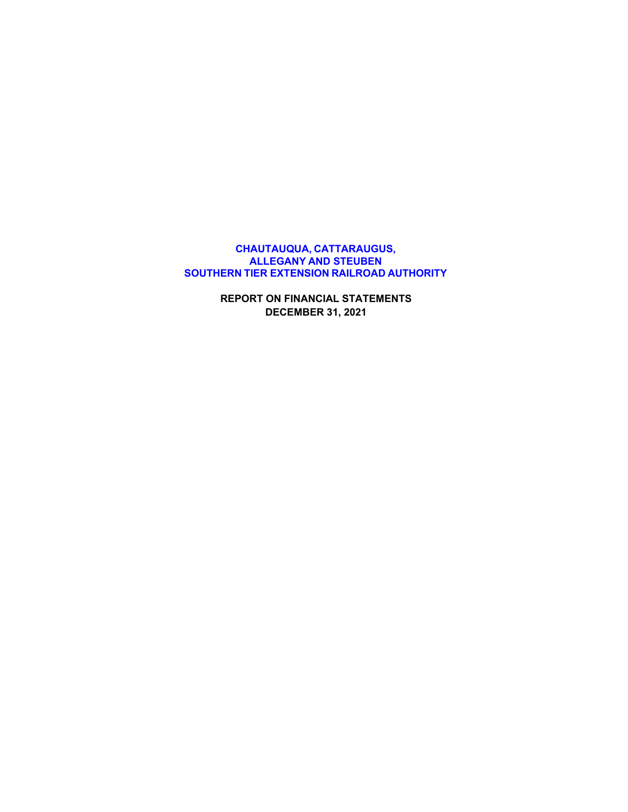### **CHAUTAUQUA, CATTARAUGUS, ALLEGANY AND STEUBEN SOUTHERN TIER EXTENSION RAILROAD AUTHORITY**

**REPORT ON FINANCIAL STATEMENTS DECEMBER 31, 2021**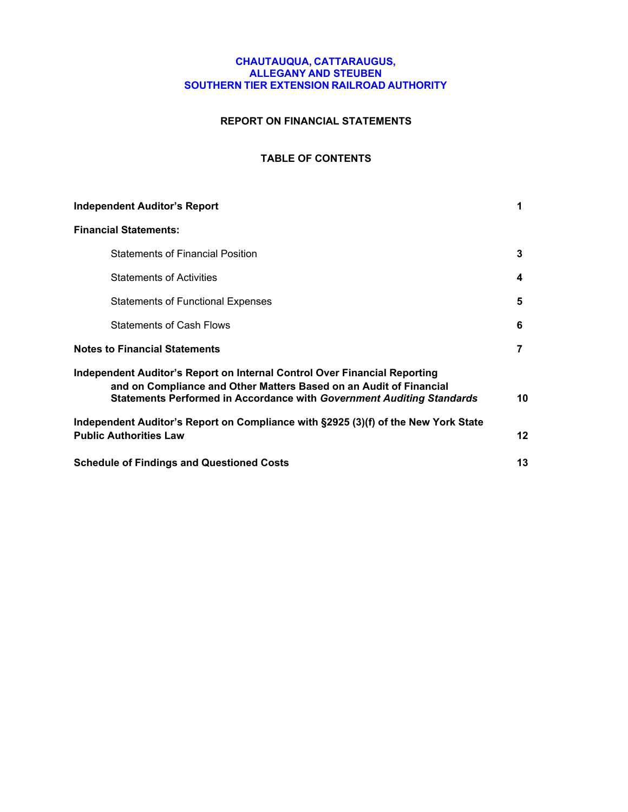## **CHAUTAUQUA, CATTARAUGUS, ALLEGANY AND STEUBEN SOUTHERN TIER EXTENSION RAILROAD AUTHORITY**

# **REPORT ON FINANCIAL STATEMENTS**

# **TABLE OF CONTENTS**

| <b>Independent Auditor's Report</b>                                                                                                                                                                                             | 1  |  |  |
|---------------------------------------------------------------------------------------------------------------------------------------------------------------------------------------------------------------------------------|----|--|--|
| <b>Financial Statements:</b>                                                                                                                                                                                                    |    |  |  |
| <b>Statements of Financial Position</b>                                                                                                                                                                                         | 3  |  |  |
| <b>Statements of Activities</b>                                                                                                                                                                                                 | 4  |  |  |
| <b>Statements of Functional Expenses</b>                                                                                                                                                                                        | 5  |  |  |
| <b>Statements of Cash Flows</b>                                                                                                                                                                                                 | 6  |  |  |
| <b>Notes to Financial Statements</b>                                                                                                                                                                                            | 7  |  |  |
| Independent Auditor's Report on Internal Control Over Financial Reporting<br>and on Compliance and Other Matters Based on an Audit of Financial<br><b>Statements Performed in Accordance with Government Auditing Standards</b> | 10 |  |  |
| Independent Auditor's Report on Compliance with §2925 (3)(f) of the New York State<br><b>Public Authorities Law</b>                                                                                                             |    |  |  |
| <b>Schedule of Findings and Questioned Costs</b>                                                                                                                                                                                | 13 |  |  |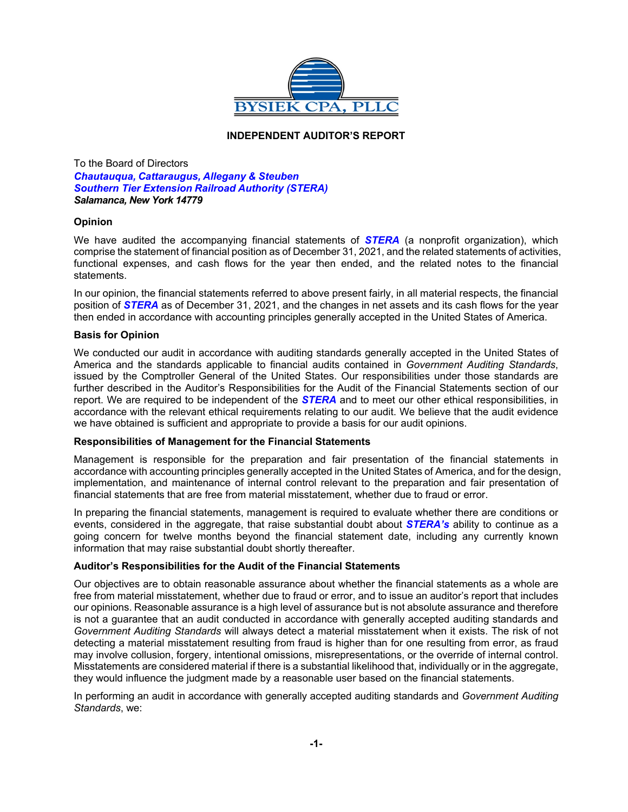

# **INDEPENDENT AUDITOR'S REPORT**

To the Board of Directors *Chautauqua, Cattaraugus, Allegany & Steuben Southern Tier Extension Railroad Authority (STERA) Salamanca, New York 14779* 

## **Opinion**

We have audited the accompanying financial statements of *STERA* (a nonprofit organization), which comprise the statement of financial position as of December 31, 2021, and the related statements of activities, functional expenses, and cash flows for the year then ended, and the related notes to the financial statements.

In our opinion, the financial statements referred to above present fairly, in all material respects, the financial position of *STERA* as of December 31, 2021, and the changes in net assets and its cash flows for the year then ended in accordance with accounting principles generally accepted in the United States of America.

## **Basis for Opinion**

We conducted our audit in accordance with auditing standards generally accepted in the United States of America and the standards applicable to financial audits contained in *Government Auditing Standards*, issued by the Comptroller General of the United States. Our responsibilities under those standards are further described in the Auditor's Responsibilities for the Audit of the Financial Statements section of our report. We are required to be independent of the *STERA* and to meet our other ethical responsibilities, in accordance with the relevant ethical requirements relating to our audit. We believe that the audit evidence we have obtained is sufficient and appropriate to provide a basis for our audit opinions.

### **Responsibilities of Management for the Financial Statements**

Management is responsible for the preparation and fair presentation of the financial statements in accordance with accounting principles generally accepted in the United States of America, and for the design, implementation, and maintenance of internal control relevant to the preparation and fair presentation of financial statements that are free from material misstatement, whether due to fraud or error.

In preparing the financial statements, management is required to evaluate whether there are conditions or events, considered in the aggregate, that raise substantial doubt about *STERA's* ability to continue as a going concern for twelve months beyond the financial statement date, including any currently known information that may raise substantial doubt shortly thereafter.

## **Auditor's Responsibilities for the Audit of the Financial Statements**

Our objectives are to obtain reasonable assurance about whether the financial statements as a whole are free from material misstatement, whether due to fraud or error, and to issue an auditor's report that includes our opinions. Reasonable assurance is a high level of assurance but is not absolute assurance and therefore is not a guarantee that an audit conducted in accordance with generally accepted auditing standards and *Government Auditing Standards* will always detect a material misstatement when it exists. The risk of not detecting a material misstatement resulting from fraud is higher than for one resulting from error, as fraud may involve collusion, forgery, intentional omissions, misrepresentations, or the override of internal control. Misstatements are considered material if there is a substantial likelihood that, individually or in the aggregate, they would influence the judgment made by a reasonable user based on the financial statements.

In performing an audit in accordance with generally accepted auditing standards and *Government Auditing Standards*, we: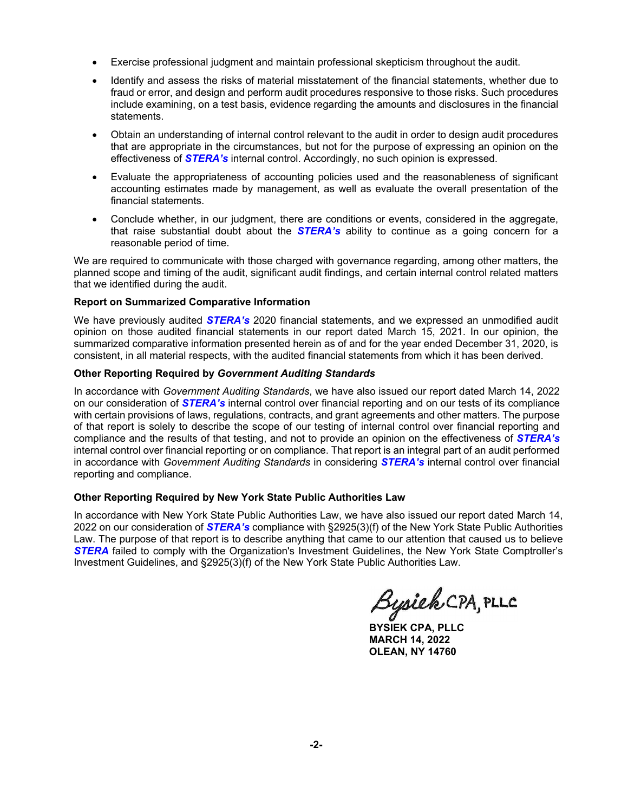- Exercise professional judgment and maintain professional skepticism throughout the audit.
- Identify and assess the risks of material misstatement of the financial statements, whether due to fraud or error, and design and perform audit procedures responsive to those risks. Such procedures include examining, on a test basis, evidence regarding the amounts and disclosures in the financial statements.
- Obtain an understanding of internal control relevant to the audit in order to design audit procedures that are appropriate in the circumstances, but not for the purpose of expressing an opinion on the effectiveness of *STERA's* internal control. Accordingly, no such opinion is expressed.
- Evaluate the appropriateness of accounting policies used and the reasonableness of significant accounting estimates made by management, as well as evaluate the overall presentation of the financial statements.
- Conclude whether, in our judgment, there are conditions or events, considered in the aggregate, that raise substantial doubt about the *STERA's* ability to continue as a going concern for a reasonable period of time.

We are required to communicate with those charged with governance regarding, among other matters, the planned scope and timing of the audit, significant audit findings, and certain internal control related matters that we identified during the audit.

# **Report on Summarized Comparative Information**

We have previously audited *STERA's* 2020 financial statements, and we expressed an unmodified audit opinion on those audited financial statements in our report dated March 15, 2021. In our opinion, the summarized comparative information presented herein as of and for the year ended December 31, 2020, is consistent, in all material respects, with the audited financial statements from which it has been derived.

# **Other Reporting Required by** *Government Auditing Standards*

In accordance with *Government Auditing Standards*, we have also issued our report dated March 14, 2022 on our consideration of *STERA's* internal control over financial reporting and on our tests of its compliance with certain provisions of laws, regulations, contracts, and grant agreements and other matters. The purpose of that report is solely to describe the scope of our testing of internal control over financial reporting and compliance and the results of that testing, and not to provide an opinion on the effectiveness of *STERA's* internal control over financial reporting or on compliance. That report is an integral part of an audit performed in accordance with *Government Auditing Standards* in considering *STERA's* internal control over financial reporting and compliance.

# **Other Reporting Required by New York State Public Authorities Law**

In accordance with New York State Public Authorities Law, we have also issued our report dated March 14, 2022 on our consideration of *STERA's* compliance with §2925(3)(f) of the New York State Public Authorities Law. The purpose of that report is to describe anything that came to our attention that caused us to believe **STERA** failed to comply with the Organization's Investment Guidelines, the New York State Comptroller's Investment Guidelines, and §2925(3)(f) of the New York State Public Authorities Law.

Bysick CPA, PLLC

 **BYSIEK CPA, PLLC MARCH 14, 2022 OLEAN, NY 14760**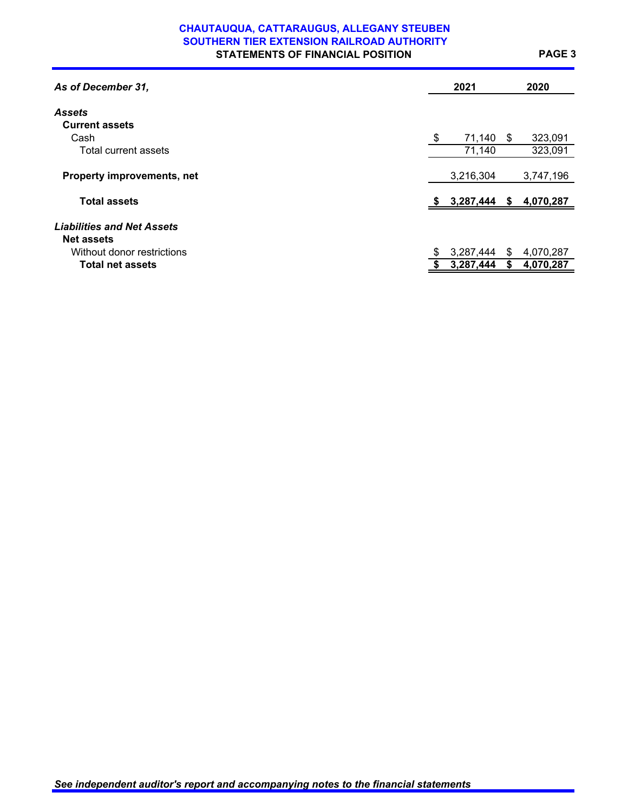# **CHAUTAUQUA, CATTARAUGUS, ALLEGANY STEUBEN SOUTHERN TIER EXTENSION RAILROAD AUTHORITY STATEMENTS OF FINANCIAL POSITION PAGE 3**

| As of December 31,                | 2021 |           |     | 2020        |  |  |
|-----------------------------------|------|-----------|-----|-------------|--|--|
| <b>Assets</b>                     |      |           |     |             |  |  |
| <b>Current assets</b>             |      |           |     |             |  |  |
| Cash                              | -\$  | 71,140    | S.  | 323,091     |  |  |
| Total current assets              |      | 71,140    |     | 323,091     |  |  |
| <b>Property improvements, net</b> |      | 3,216,304 |     | 3,747,196   |  |  |
| <b>Total assets</b>               | - 56 | 3,287,444 |     | \$4,070,287 |  |  |
| <b>Liabilities and Net Assets</b> |      |           |     |             |  |  |
| <b>Net assets</b>                 |      |           |     |             |  |  |
| Without donor restrictions        | S    | 3,287,444 | \$. | 4,070,287   |  |  |
| <b>Total net assets</b>           |      | 3,287,444 |     | 4,070,287   |  |  |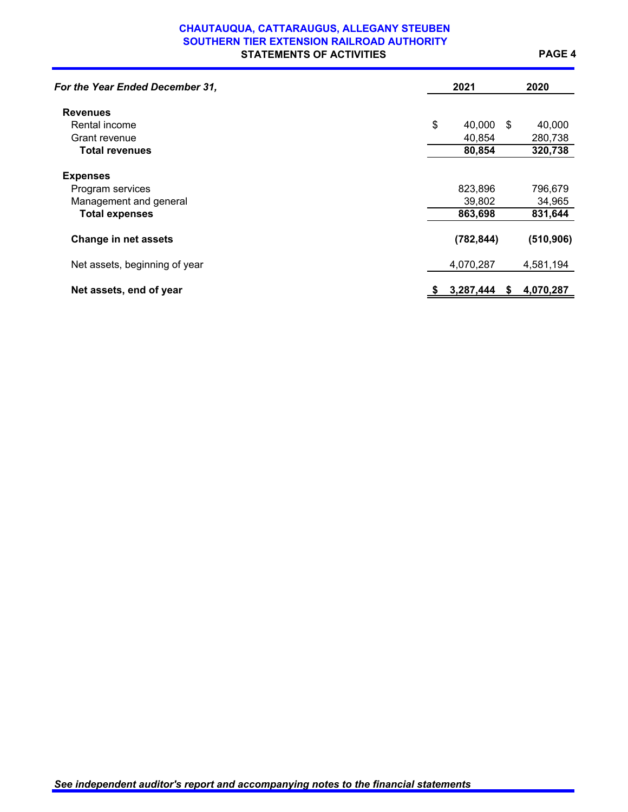# **CHAUTAUQUA, CATTARAUGUS, ALLEGANY STEUBEN SOUTHERN TIER EXTENSION RAILROAD AUTHORITY STATEMENTS OF ACTIVITIES PAGE 4**

| For the Year Ended December 31, | 2021            | 2020       |  |
|---------------------------------|-----------------|------------|--|
| <b>Revenues</b>                 |                 |            |  |
| Rental income                   | \$<br>40,000 \$ | 40,000     |  |
| Grant revenue                   | 40,854          | 280,738    |  |
| <b>Total revenues</b>           | 80,854          | 320,738    |  |
| <b>Expenses</b>                 |                 |            |  |
| Program services                | 823,896         | 796,679    |  |
| Management and general          | 39,802          | 34,965     |  |
| <b>Total expenses</b>           | 863,698         | 831,644    |  |
| Change in net assets            | (782, 844)      | (510, 906) |  |
| Net assets, beginning of year   | 4,070,287       | 4,581,194  |  |
| Net assets, end of year         | 3,287,444       | 4,070,287  |  |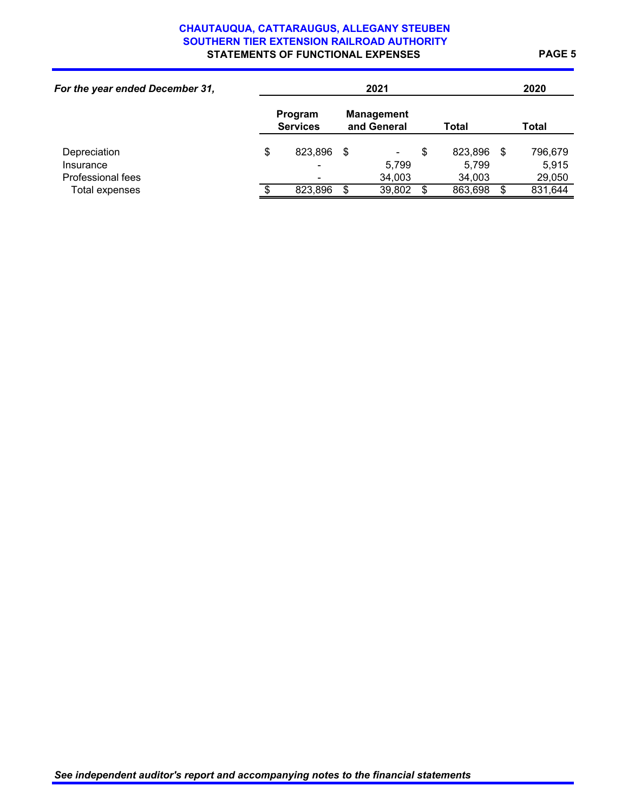# **CHAUTAUQUA, CATTARAUGUS, ALLEGANY STEUBEN SOUTHERN TIER EXTENSION RAILROAD AUTHORITY STATEMENTS OF FUNCTIONAL EXPENSES PAGE 5**

*For the year ended December 31,* **Program Management Services and General Total Total** Depreciation 823,896 \$ - \$ 823,896 \$ 796,679 \$ Insurance - 5,799 5,799 5,915 Professional fees - 34,003 34,003 29,050<br>Total expenses - \$823,896 \$39,802 \$863,698 \$831,644 Total expenses 631,644 **2021 2020**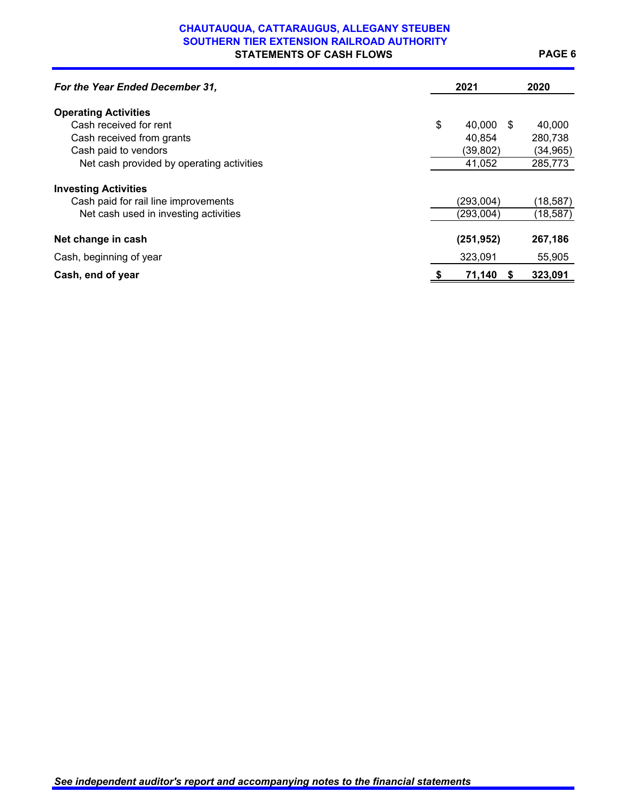# **CHAUTAUQUA, CATTARAUGUS, ALLEGANY STEUBEN SOUTHERN TIER EXTENSION RAILROAD AUTHORITY STATEMENTS OF CASH FLOWS PAGE 6**

| For the Year Ended December 31,           | 2021         | 2020         |
|-------------------------------------------|--------------|--------------|
| <b>Operating Activities</b>               |              |              |
| Cash received for rent                    | \$<br>40,000 | 40,000<br>-S |
| Cash received from grants                 | 40,854       | 280,738      |
| Cash paid to vendors                      | (39, 802)    | (34, 965)    |
| Net cash provided by operating activities | 41,052       | 285,773      |
| <b>Investing Activities</b>               |              |              |
| Cash paid for rail line improvements      | (293,004)    | (18,587)     |
| Net cash used in investing activities     | (293,004)    | (18, 587)    |
| Net change in cash                        | (251, 952)   | 267,186      |
| Cash, beginning of year                   | 323,091      | 55,905       |
| Cash, end of year                         | 71,140       | 323,091      |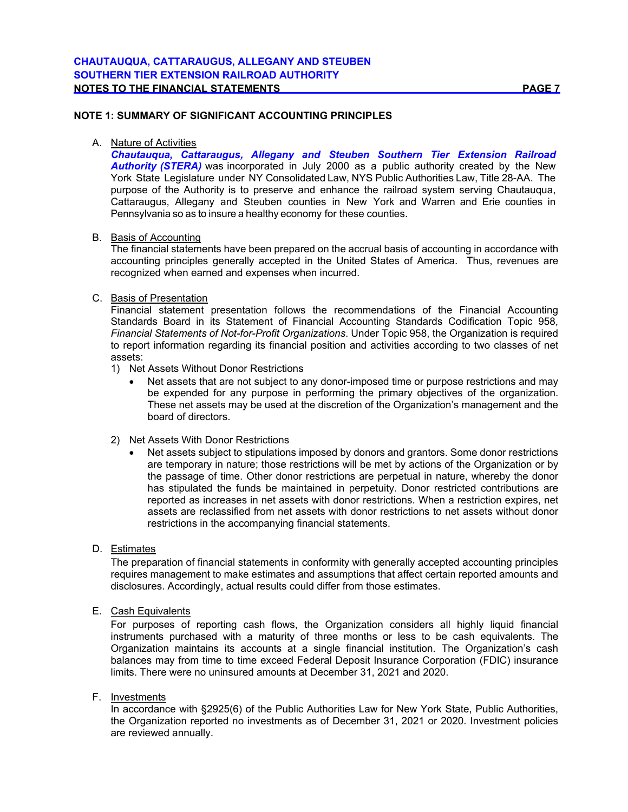## **NOTE 1: SUMMARY OF SIGNIFICANT ACCOUNTING PRINCIPLES**

#### A. Nature of Activities

*Chautauqua, Cattaraugus, Allegany and Steuben Southern Tier Extension Railroad Authority (STERA)* was incorporated in July 2000 as a public authority created by the New York State Legislature under NY Consolidated Law, NYS Public Authorities Law, Title 28-AA. The purpose of the Authority is to preserve and enhance the railroad system serving Chautauqua, Cattaraugus, Allegany and Steuben counties in New York and Warren and Erie counties in Pennsylvania so as to insure a healthy economy for these counties.

#### B. Basis of Accounting

The financial statements have been prepared on the accrual basis of accounting in accordance with accounting principles generally accepted in the United States of America. Thus, revenues are recognized when earned and expenses when incurred.

#### C. Basis of Presentation

Financial statement presentation follows the recommendations of the Financial Accounting Standards Board in its Statement of Financial Accounting Standards Codification Topic 958, *Financial Statements of Not-for-Profit Organizations*. Under Topic 958, the Organization is required to report information regarding its financial position and activities according to two classes of net assets:

- 1) Net Assets Without Donor Restrictions
	- Net assets that are not subject to any donor-imposed time or purpose restrictions and may be expended for any purpose in performing the primary objectives of the organization. These net assets may be used at the discretion of the Organization's management and the board of directors.

#### 2) Net Assets With Donor Restrictions

- Net assets subject to stipulations imposed by donors and grantors. Some donor restrictions are temporary in nature; those restrictions will be met by actions of the Organization or by the passage of time. Other donor restrictions are perpetual in nature, whereby the donor has stipulated the funds be maintained in perpetuity. Donor restricted contributions are reported as increases in net assets with donor restrictions. When a restriction expires, net assets are reclassified from net assets with donor restrictions to net assets without donor restrictions in the accompanying financial statements.
- D. Estimates

The preparation of financial statements in conformity with generally accepted accounting principles requires management to make estimates and assumptions that affect certain reported amounts and disclosures. Accordingly, actual results could differ from those estimates.

E. Cash Equivalents

For purposes of reporting cash flows, the Organization considers all highly liquid financial instruments purchased with a maturity of three months or less to be cash equivalents. The Organization maintains its accounts at a single financial institution. The Organization's cash balances may from time to time exceed Federal Deposit Insurance Corporation (FDIC) insurance limits. There were no uninsured amounts at December 31, 2021 and 2020.

### F. Investments

In accordance with §2925(6) of the Public Authorities Law for New York State, Public Authorities, the Organization reported no investments as of December 31, 2021 or 2020. Investment policies are reviewed annually.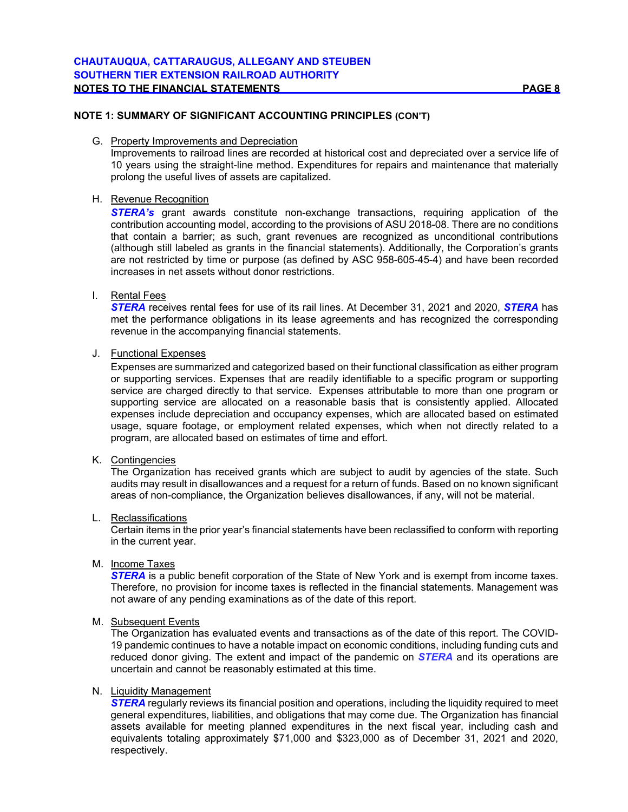# **NOTE 1: SUMMARY OF SIGNIFICANT ACCOUNTING PRINCIPLES (CON'T)**

### G. Property Improvements and Depreciation

Improvements to railroad lines are recorded at historical cost and depreciated over a service life of 10 years using the straight-line method. Expenditures for repairs and maintenance that materially prolong the useful lives of assets are capitalized.

## H. Revenue Recognition

**STERA's** grant awards constitute non-exchange transactions, requiring application of the contribution accounting model, according to the provisions of ASU 2018-08. There are no conditions that contain a barrier; as such, grant revenues are recognized as unconditional contributions (although still labeled as grants in the financial statements). Additionally, the Corporation's grants are not restricted by time or purpose (as defined by ASC 958-605-45-4) and have been recorded increases in net assets without donor restrictions.

## I. Rental Fees

*STERA* receives rental fees for use of its rail lines. At December 31, 2021 and 2020, *STERA* has met the performance obligations in its lease agreements and has recognized the corresponding revenue in the accompanying financial statements.

## J. Functional Expenses

Expenses are summarized and categorized based on their functional classification as either program or supporting services. Expenses that are readily identifiable to a specific program or supporting service are charged directly to that service. Expenses attributable to more than one program or supporting service are allocated on a reasonable basis that is consistently applied. Allocated expenses include depreciation and occupancy expenses, which are allocated based on estimated usage, square footage, or employment related expenses, which when not directly related to a program, are allocated based on estimates of time and effort.

# K. Contingencies

The Organization has received grants which are subject to audit by agencies of the state. Such audits may result in disallowances and a request for a return of funds. Based on no known significant areas of non-compliance, the Organization believes disallowances, if any, will not be material.

### L. Reclassifications

Certain items in the prior year's financial statements have been reclassified to conform with reporting in the current year.

## M. Income Taxes

**STERA** is a public benefit corporation of the State of New York and is exempt from income taxes. Therefore, no provision for income taxes is reflected in the financial statements. Management was not aware of any pending examinations as of the date of this report.

#### M. Subsequent Events

The Organization has evaluated events and transactions as of the date of this report. The COVID-19 pandemic continues to have a notable impact on economic conditions, including funding cuts and reduced donor giving. The extent and impact of the pandemic on *STERA* and its operations are uncertain and cannot be reasonably estimated at this time.

#### N. Liquidity Management

*STERA* regularly reviews its financial position and operations, including the liquidity required to meet general expenditures, liabilities, and obligations that may come due. The Organization has financial assets available for meeting planned expenditures in the next fiscal year, including cash and equivalents totaling approximately \$71,000 and \$323,000 as of December 31, 2021 and 2020, respectively.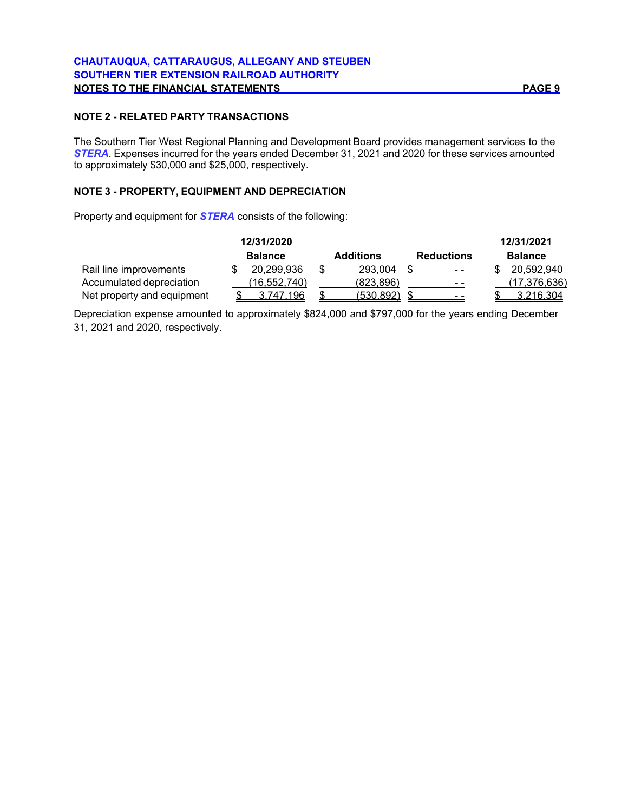## **NOTE 2 - RELATED PARTY TRANSACTIONS**

The Southern Tier West Regional Planning and Development Board provides management services to the *STERA*. Expenses incurred for the years ended December 31, 2021 and 2020 for these services amounted to approximately \$30,000 and \$25,000, respectively.

# **NOTE 3 - PROPERTY, EQUIPMENT AND DEPRECIATION**

Property and equipment for *STERA* consists of the following:

|                            |                | 12/31/2020   |                  |                  |                   | 12/31/2021     |
|----------------------------|----------------|--------------|------------------|------------------|-------------------|----------------|
|                            | <b>Balance</b> |              | <b>Additions</b> |                  | <b>Reductions</b> | <b>Balance</b> |
| Rail line improvements     |                | 20,299,936   |                  | 293,004          | $ -$              | 20,592,940     |
| Accumulated depreciation   |                | (16,552,740) |                  | (823,896)        | $\qquad \qquad -$ | (17,376,636)   |
| Net property and equipment |                | 3.747.196    |                  | <u>(530,892)</u> | $\sim$ $\sim$     | 3,216,304      |

Depreciation expense amounted to approximately \$824,000 and \$797,000 for the years ending December 31, 2021 and 2020, respectively.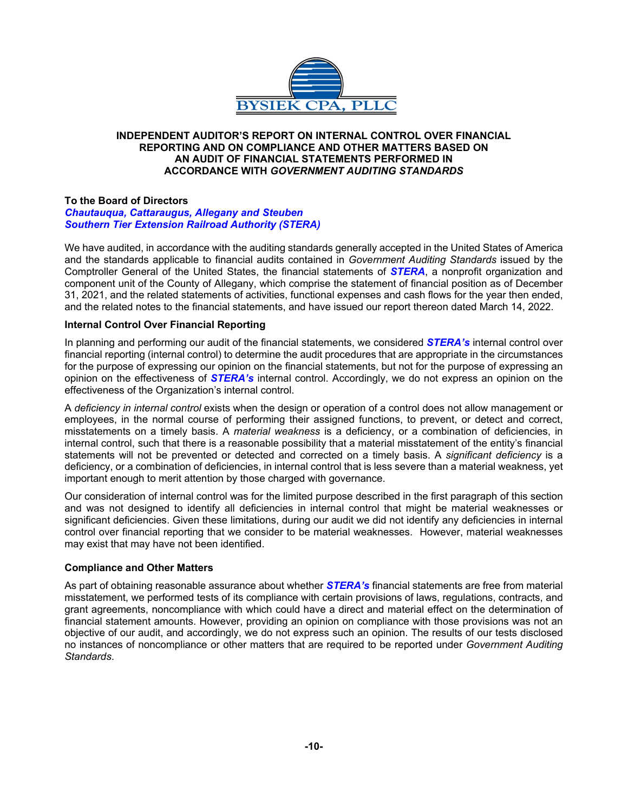

## **INDEPENDENT AUDITOR'S REPORT ON INTERNAL CONTROL OVER FINANCIAL REPORTING AND ON COMPLIANCE AND OTHER MATTERS BASED ON AN AUDIT OF FINANCIAL STATEMENTS PERFORMED IN ACCORDANCE WITH** *GOVERNMENT AUDITING STANDARDS*

## **To the Board of Directors**  *Chautauqua, Cattaraugus, Allegany and Steuben Southern Tier Extension Railroad Authority (STERA)*

We have audited, in accordance with the auditing standards generally accepted in the United States of America and the standards applicable to financial audits contained in *Government Auditing Standards* issued by the Comptroller General of the United States, the financial statements of *STERA*, a nonprofit organization and component unit of the County of Allegany, which comprise the statement of financial position as of December 31, 2021, and the related statements of activities, functional expenses and cash flows for the year then ended, and the related notes to the financial statements, and have issued our report thereon dated March 14, 2022.

# **Internal Control Over Financial Reporting**

In planning and performing our audit of the financial statements, we considered *STERA's* internal control over financial reporting (internal control) to determine the audit procedures that are appropriate in the circumstances for the purpose of expressing our opinion on the financial statements, but not for the purpose of expressing an opinion on the effectiveness of *STERA's* internal control. Accordingly, we do not express an opinion on the effectiveness of the Organization's internal control.

A *deficiency in internal control* exists when the design or operation of a control does not allow management or employees, in the normal course of performing their assigned functions, to prevent, or detect and correct, misstatements on a timely basis. A *material weakness* is a deficiency, or a combination of deficiencies, in internal control, such that there is a reasonable possibility that a material misstatement of the entity's financial statements will not be prevented or detected and corrected on a timely basis. A *significant deficiency* is a deficiency, or a combination of deficiencies, in internal control that is less severe than a material weakness, yet important enough to merit attention by those charged with governance.

Our consideration of internal control was for the limited purpose described in the first paragraph of this section and was not designed to identify all deficiencies in internal control that might be material weaknesses or significant deficiencies. Given these limitations, during our audit we did not identify any deficiencies in internal control over financial reporting that we consider to be material weaknesses. However, material weaknesses may exist that may have not been identified.

# **Compliance and Other Matters**

As part of obtaining reasonable assurance about whether *STERA's* financial statements are free from material misstatement, we performed tests of its compliance with certain provisions of laws, regulations, contracts, and grant agreements, noncompliance with which could have a direct and material effect on the determination of financial statement amounts. However, providing an opinion on compliance with those provisions was not an objective of our audit, and accordingly, we do not express such an opinion. The results of our tests disclosed no instances of noncompliance or other matters that are required to be reported under *Government Auditing Standards*.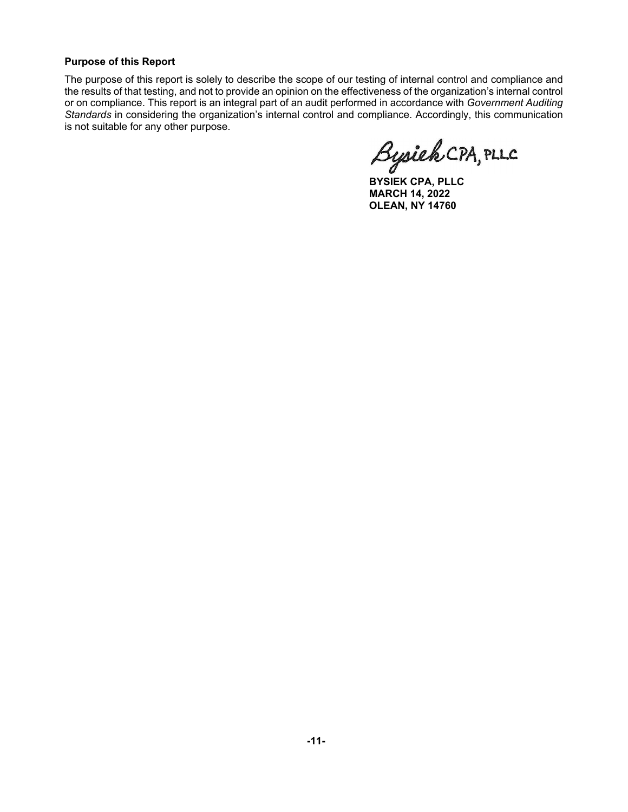# **Purpose of this Report**

The purpose of this report is solely to describe the scope of our testing of internal control and compliance and the results of that testing, and not to provide an opinion on the effectiveness of the organization's internal control or on compliance. This report is an integral part of an audit performed in accordance with *Government Auditing Standards* in considering the organization's internal control and compliance. Accordingly, this communication is not suitable for any other purpose.

Bysick CPA, PLLC

 **BYSIEK CPA, PLLC MARCH 14, 2022 OLEAN, NY 14760**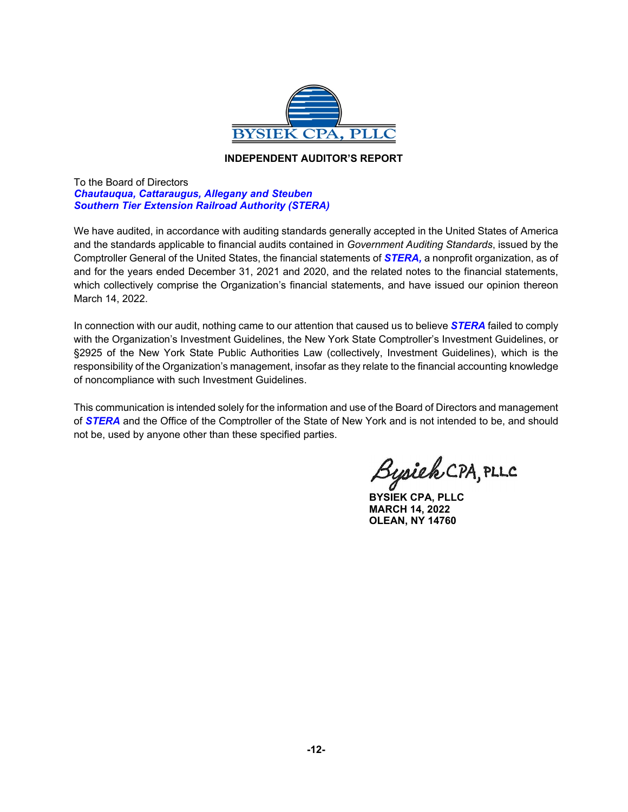

## **INDEPENDENT AUDITOR'S REPORT**

To the Board of Directors *Chautauqua, Cattaraugus, Allegany and Steuben Southern Tier Extension Railroad Authority (STERA)* 

We have audited, in accordance with auditing standards generally accepted in the United States of America and the standards applicable to financial audits contained in *Government Auditing Standards*, issued by the Comptroller General of the United States, the financial statements of *STERA,* a nonprofit organization, as of and for the years ended December 31, 2021 and 2020, and the related notes to the financial statements, which collectively comprise the Organization's financial statements, and have issued our opinion thereon March 14, 2022.

In connection with our audit, nothing came to our attention that caused us to believe *STERA* failed to comply with the Organization's Investment Guidelines, the New York State Comptroller's Investment Guidelines, or §2925 of the New York State Public Authorities Law (collectively, Investment Guidelines), which is the responsibility of the Organization's management, insofar as they relate to the financial accounting knowledge of noncompliance with such Investment Guidelines.

This communication is intended solely for the information and use of the Board of Directors and management of *STERA* and the Office of the Comptroller of the State of New York and is not intended to be, and should not be, used by anyone other than these specified parties.

Bysick CPA, PLLC

 **BYSIEK CPA, PLLC MARCH 14, 2022 OLEAN, NY 14760**